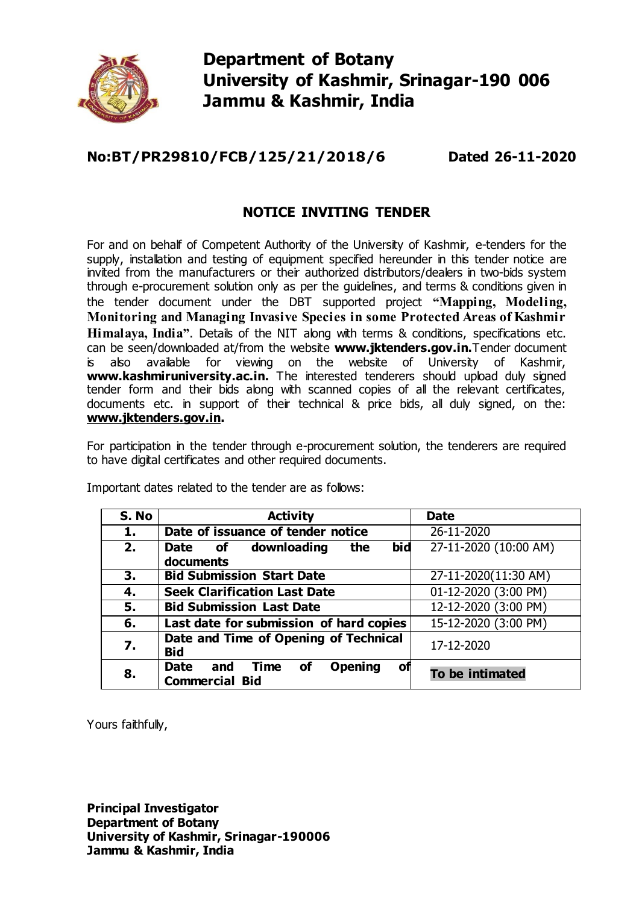

# **Department of Botany University of Kashmir, Srinagar-190 006 Jammu & Kashmir, India**

# **No:BT/PR29810/FCB/125/21/2018/6 Dated 26-11-2020**

#### **NOTICE INVITING TENDER**

For and on behalf of Competent Authority of the University of Kashmir, e-tenders for the supply, installation and testing of equipment specified hereunder in this tender notice are invited from the manufacturers or their authorized distributors/dealers in two-bids system through e-procurement solution only as per the guidelines, and terms & conditions given in the tender document under the DBT supported project **"Mapping, Modeling, Monitoring and Managing Invasive Species in some Protected Areas of Kashmir Himalaya, India<sup>n</sup>**. Details of the NIT along with terms & conditions, specifications etc. can be seen/downloaded at/from the website **www.jktenders.gov.in.**Tender document is also available for viewing on the website of University of Kashmir, **[www.kashmiruniversity.ac.in](http://www.kashmiruniversity.ac.in/).** The interested tenderers should upload duly signed tender form and their bids along with scanned copies of all the relevant certificates, documents etc. in support of their technical & price bids, all duly signed, on the: **[www.jktenders.gov.in.](http://www.jktenders.gov.in/)**

For participation in the tender through e-procurement solution, the tenderers are required to have digital certificates and other required documents.

| S. No | <b>Activity</b>                                                                          | <b>Date</b>           |
|-------|------------------------------------------------------------------------------------------|-----------------------|
| 1.    | Date of issuance of tender notice                                                        | 26-11-2020            |
| 2.    | bid<br>Date of downloading<br>the                                                        | 27-11-2020 (10:00 AM) |
|       | documents                                                                                |                       |
| 3.    | <b>Bid Submission Start Date</b>                                                         | 27-11-2020(11:30 AM)  |
| 4.    | <b>Seek Clarification Last Date</b>                                                      | 01-12-2020 (3:00 PM)  |
| 5.    | <b>Bid Submission Last Date</b>                                                          | 12-12-2020 (3:00 PM)  |
| 6.    | Last date for submission of hard copies                                                  | 15-12-2020 (3:00 PM)  |
| 7.    | Date and Time of Opening of Technical<br><b>Bid</b>                                      | 17-12-2020            |
| 8.    | <b>Opening</b><br><b>Date</b><br>Time<br><b>of</b><br>and<br>οf<br><b>Commercial Bid</b> | To be intimated       |

Important dates related to the tender are as follows:

Yours faithfully,

**Principal Investigator Department of Botany University of Kashmir, Srinagar-190006 Jammu & Kashmir, India**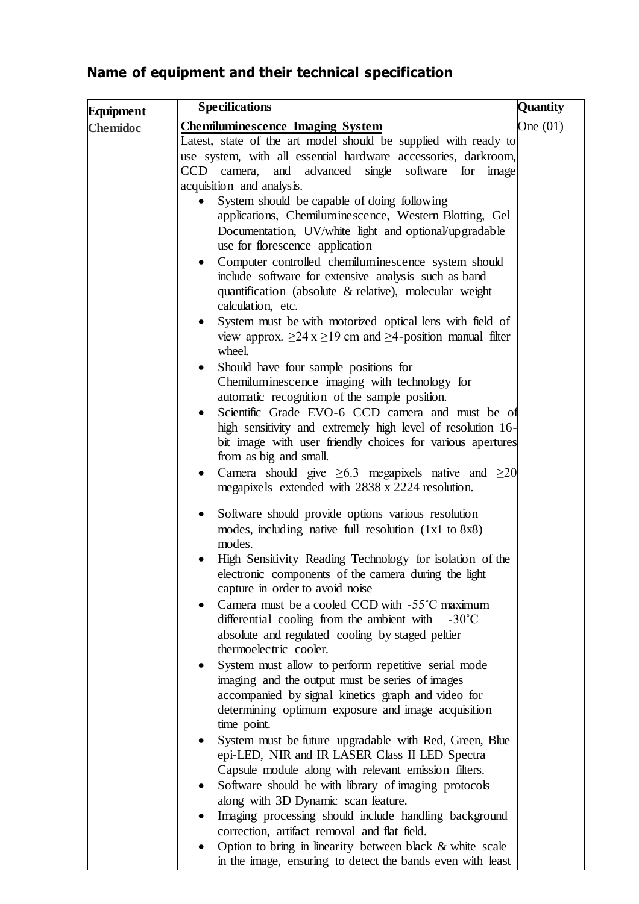# **Name of equipment and their technical specification**

| Equipment       | <b>Specifications</b>                                                                                                  | <b>Quantity</b> |
|-----------------|------------------------------------------------------------------------------------------------------------------------|-----------------|
| <b>Chemidoc</b> | <b>Chemiluminescence Imaging System</b>                                                                                | One $(01)$      |
|                 | Latest, state of the art model should be supplied with ready to                                                        |                 |
|                 | use system, with all essential hardware accessories, darkroom,                                                         |                 |
|                 | and advanced<br>software for image<br>CCD camera,<br>single                                                            |                 |
|                 | acquisition and analysis.                                                                                              |                 |
|                 | System should be capable of doing following                                                                            |                 |
|                 | applications, Chemiluminescence, Western Blotting, Gel                                                                 |                 |
|                 | Documentation, UV/white light and optional/upgradable<br>use for florescence application                               |                 |
|                 | Computer controlled chemiluminescence system should<br>$\bullet$                                                       |                 |
|                 | include software for extensive analysis such as band                                                                   |                 |
|                 | quantification (absolute & relative), molecular weight                                                                 |                 |
|                 | calculation, etc.                                                                                                      |                 |
|                 | System must be with motorized optical lens with field of<br>٠                                                          |                 |
|                 | view approx. $\geq 24$ x $\geq 19$ cm and $\geq 4$ -position manual filter<br>wheel.                                   |                 |
|                 | Should have four sample positions for                                                                                  |                 |
|                 | Chemiluminescence imaging with technology for                                                                          |                 |
|                 | automatic recognition of the sample position.                                                                          |                 |
|                 | Scientific Grade EVO-6 CCD camera and must be of                                                                       |                 |
|                 | high sensitivity and extremely high level of resolution 16-                                                            |                 |
|                 | bit image with user friendly choices for various apertures<br>from as big and small.                                   |                 |
|                 | Camera should give $\geq 6.3$ megapixels native and $\geq 20$<br>٠<br>megapixels extended with 2838 x 2224 resolution. |                 |
|                 | Software should provide options various resolution<br>$\bullet$                                                        |                 |
|                 | modes, including native full resolution (1x1 to 8x8)<br>modes.                                                         |                 |
|                 | High Sensitivity Reading Technology for isolation of the                                                               |                 |
|                 | electronic components of the camera during the light<br>capture in order to avoid noise                                |                 |
|                 | Camera must be a cooled CCD with -55°C maximum                                                                         |                 |
|                 | differential cooling from the ambient with<br>$-30^{\circ}$ C                                                          |                 |
|                 | absolute and regulated cooling by staged peltier<br>thermoelectric cooler.                                             |                 |
|                 | System must allow to perform repetitive serial mode                                                                    |                 |
|                 | imaging and the output must be series of images                                                                        |                 |
|                 | accompanied by signal kinetics graph and video for                                                                     |                 |
|                 | determining optimum exposure and image acquisition                                                                     |                 |
|                 | time point.                                                                                                            |                 |
|                 | System must be future upgradable with Red, Green, Blue<br>epi-LED, NIR and IR LASER Class II LED Spectra               |                 |
|                 | Capsule module along with relevant emission filters.                                                                   |                 |
|                 | Software should be with library of imaging protocols                                                                   |                 |
|                 | along with 3D Dynamic scan feature.                                                                                    |                 |
|                 | Imaging processing should include handling background                                                                  |                 |
|                 | correction, artifact removal and flat field.                                                                           |                 |
|                 | Option to bring in linearity between black & white scale                                                               |                 |
|                 | in the image, ensuring to detect the bands even with least                                                             |                 |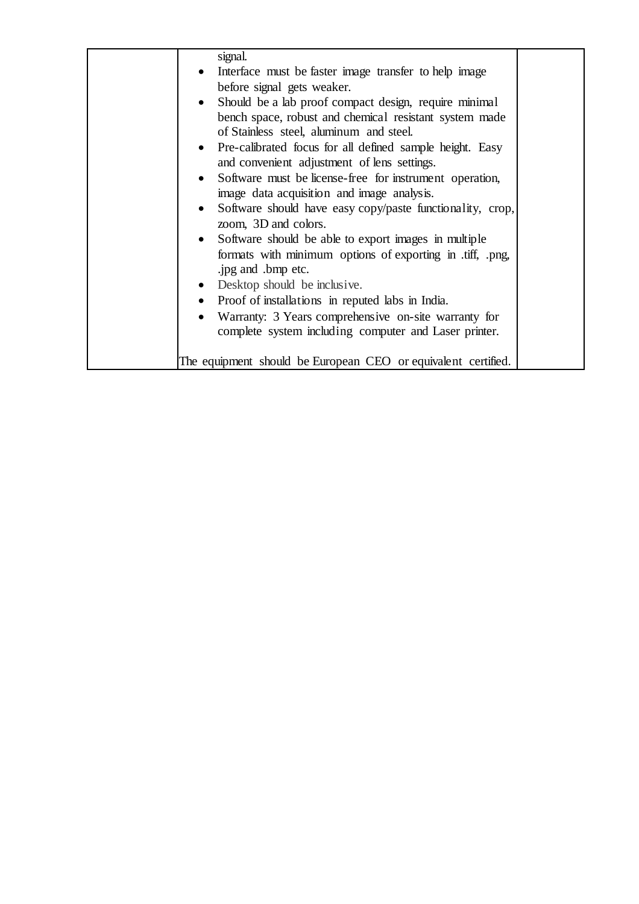| signal.                                                       |  |
|---------------------------------------------------------------|--|
| Interface must be faster image transfer to help image         |  |
| before signal gets weaker.                                    |  |
| Should be a lab proof compact design, require minimal         |  |
| bench space, robust and chemical resistant system made        |  |
| of Stainless steel, aluminum and steel.                       |  |
| • Pre-calibrated focus for all defined sample height. Easy    |  |
| and convenient adjustment of lens settings.                   |  |
| Software must be license-free for instrument operation,       |  |
| image data acquisition and image analysis.                    |  |
| Software should have easy copy/paste functionality, crop,     |  |
| zoom, 3D and colors.                                          |  |
| Software should be able to export images in multiple          |  |
| formats with minimum options of exporting in .tiff, .png,     |  |
| .jpg and .bmp etc.                                            |  |
| • Desktop should be inclusive.                                |  |
| • Proof of installations in reputed labs in India.            |  |
|                                                               |  |
| • Warranty: 3 Years comprehensive on-site warranty for        |  |
| complete system including computer and Laser printer.         |  |
|                                                               |  |
| The equipment should be European CEO or equivalent certified. |  |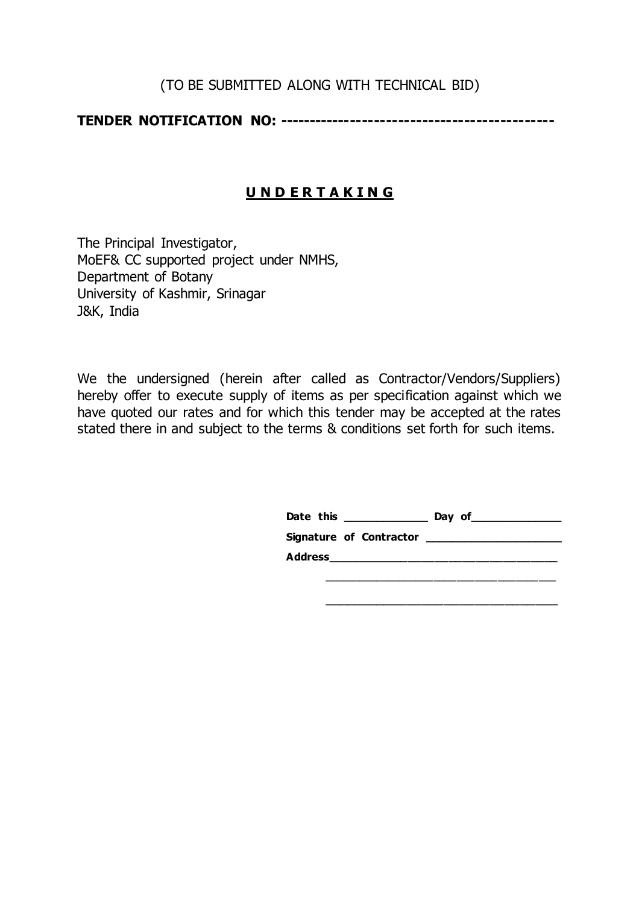#### (TO BE SUBMITTED ALONG WITH TECHNICAL BID)

**TENDER NOTIFICATION NO: ----------------------------------------------**

# **U N D E R T A K I N G**

The Principal Investigator, MoEF& CC supported project under NMHS, Department of Botany University of Kashmir, Srinagar J&K, India

We the undersigned (herein after called as Contractor/Vendors/Suppliers) hereby offer to execute supply of items as per specification against which we have quoted our rates and for which this tender may be accepted at the rates stated there in and subject to the terms & conditions set forth for such items.

| Date this               | Day of |
|-------------------------|--------|
| Signature of Contractor |        |
| Address                 |        |
|                         |        |

\_\_\_\_\_\_\_\_\_\_\_\_\_\_\_\_\_\_\_\_\_\_\_\_\_\_\_\_\_\_\_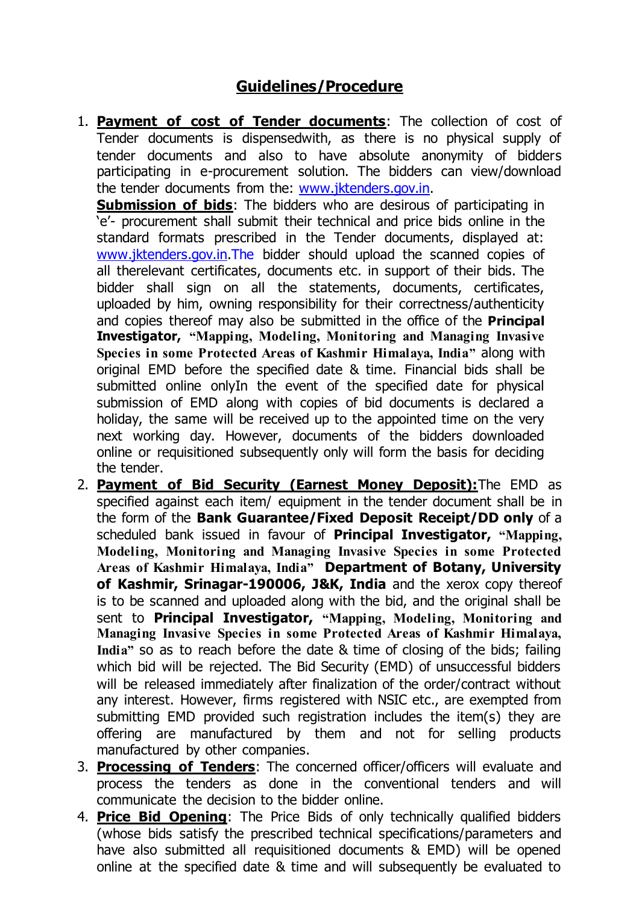# **Guidelines/Procedure**

1. **Payment of cost of Tender documents**: The collection of cost of Tender documents is dispensedwith, as there is no physical supply of tender documents and also to have absolute anonymity of bidders participating in e-procurement solution. The bidders can view/download the tender documents from the: [www.jktenders.gov.in.](http://www.jktenders.gov.in/)

**Submission of bids**: The bidders who are desirous of participating in 'e'- procurement shall submit their technical and price bids online in the standard formats prescribed in the Tender documents, displayed at: [www.jktenders.gov.in.T](http://www.jktenders.gov.in/)he bidder should upload the scanned copies of all therelevant certificates, documents etc. in support of their bids. The bidder shall sign on all the statements, documents, certificates, uploaded by him, owning responsibility for their correctness/authenticity and copies thereof may also be submitted in the office of the **Principal Investigator, "Mapping, Modeling, Monitoring and Managing Invasive Species in some Protected Areas of Kashmir Himalaya, India"** along with original EMD before the specified date & time. Financial bids shall be submitted online onlyIn the event of the specified date for physical submission of EMD along with copies of bid documents is declared a holiday, the same will be received up to the appointed time on the very next working day. However, documents of the bidders downloaded online or requisitioned subsequently only will form the basis for deciding the tender.

- 2. **Payment of Bid Security (Earnest Money Deposit):**The EMD as specified against each item/ equipment in the tender document shall be in the form of the **Bank Guarantee/Fixed Deposit Receipt/DD only** of a scheduled bank issued in favour of **Principal Investigator, "Mapping, Modeling, Monitoring and Managing Invasive Species in some Protected Areas of Kashmir Himalaya, India" Department of Botany, University of Kashmir, Srinagar-190006, J&K, India** and the xerox copy thereof is to be scanned and uploaded along with the bid, and the original shall be sent to **Principal Investigator, "Mapping, Modeling, Monitoring and Managing Invasive Species in some Protected Areas of Kashmir Himalaya, India"** so as to reach before the date & time of closing of the bids; failing which bid will be rejected. The Bid Security (EMD) of unsuccessful bidders will be released immediately after finalization of the order/contract without any interest. However, firms registered with NSIC etc., are exempted from submitting EMD provided such registration includes the item(s) they are offering are manufactured by them and not for selling products manufactured by other companies.
- 3. **Processing of Tenders**: The concerned officer/officers will evaluate and process the tenders as done in the conventional tenders and will communicate the decision to the bidder online.
- 4. **Price Bid Opening**: The Price Bids of only technically qualified bidders (whose bids satisfy the prescribed technical specifications/parameters and have also submitted all requisitioned documents & EMD) will be opened online at the specified date & time and will subsequently be evaluated to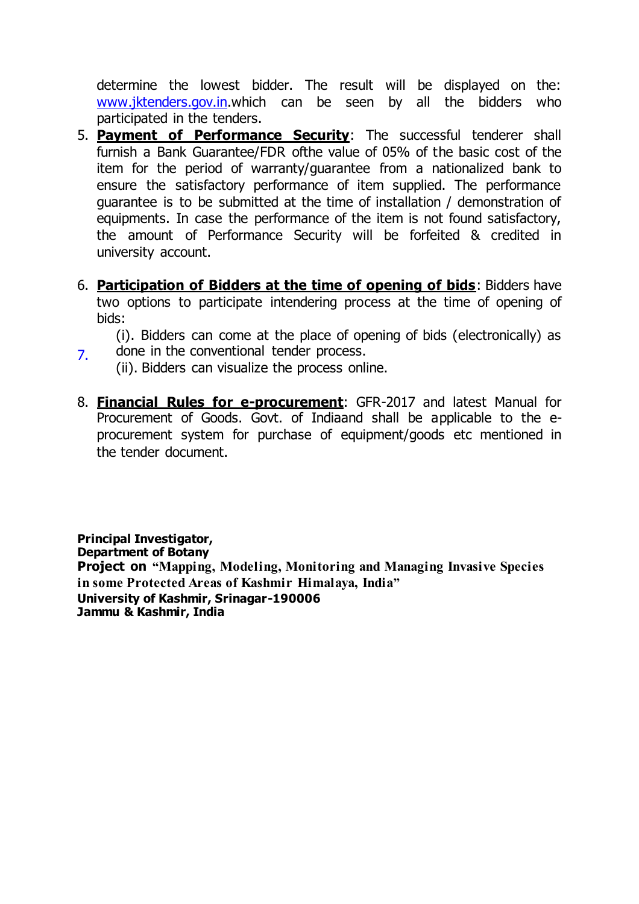determine the lowest bidder. The result will be displayed on the: [www.jktenders.gov.in.](http://www.jktenders.gov.in/)[w](http://delhi.govtprocurement.com/)hich can be seen by all the bidders who participated in the tenders.

- 5. **Payment of Performance Security**: The successful tenderer shall furnish a Bank Guarantee/FDR ofthe value of 05% of the basic cost of the item for the period of warranty/guarantee from a nationalized bank to ensure the satisfactory performance of item supplied. The performance guarantee is to be submitted at the time of installation / demonstration of equipments. In case the performance of the item is not found satisfactory, the amount of Performance Security will be forfeited & credited in university account.
- 6. **Participation of Bidders at the time of opening of bids**: Bidders have two options to participate intendering process at the time of opening of bids:

(i). Bidders can come at the place of opening of bids (electronically) as  $7.$  done in the conventional tender process.

- (ii). Bidders can visualize the process online.
- 8. **Financial Rules for e-procurement**: GFR-2017 and latest Manual for Procurement of Goods. Govt. of Indiaand shall be applicable to the eprocurement system for purchase of equipment/goods etc mentioned in the tender document.

**Principal Investigator, Department of Botany Project on "Mapping, Modeling, Monitoring and Managing Invasive Species in some Protected Areas of Kashmir Himalaya, India" University of Kashmir, Srinagar-190006 Jammu & Kashmir, India**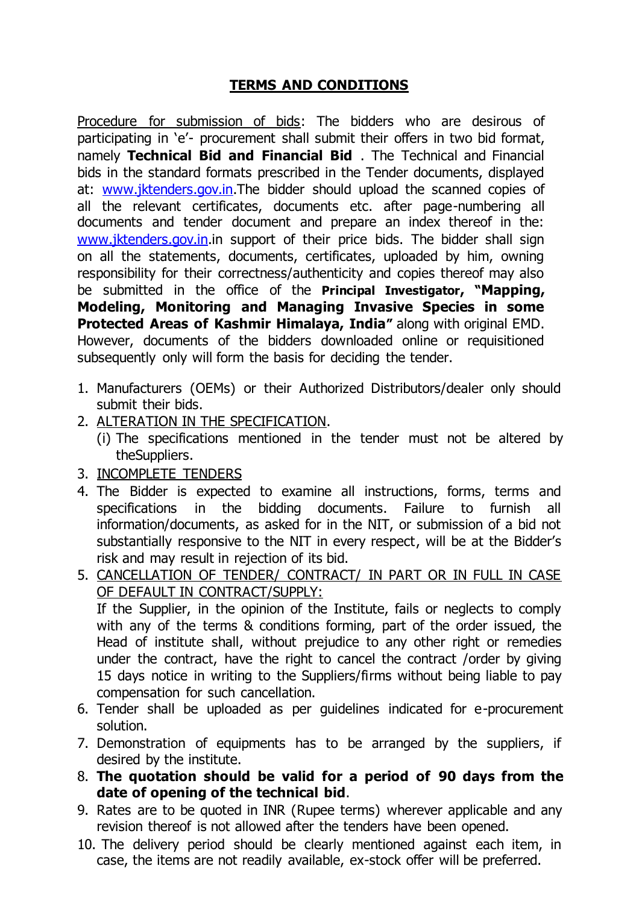# **TERMS AND CONDITIONS**

Procedure for submission of bids: The bidders who are desirous of participating in 'e'- procurement shall submit their offers in two bid format, namely **Technical Bid and Financial Bid** . The Technical and Financial bids in the standard formats prescribed in the Tender documents, displayed at: [www.jktenders.gov.in.](http://www.jktenders.gov.in/)The bidder should upload the scanned copies of all the relevant certificates, documents etc. after page-numbering all documents and tender document and prepare an index thereof in the: [www.jktenders.gov.in.i](http://www.jktenders.gov.in/)n support of their price bids. The bidder shall sign on all the statements, documents, certificates, uploaded by him, owning responsibility for their correctness/authenticity and copies thereof may also be submitted in the office of the **Principal Investigator, "Mapping, Modeling, Monitoring and Managing Invasive Species in some Protected Areas of Kashmir Himalaya, India"** along with original EMD. However, documents of the bidders downloaded online or requisitioned subsequently only will form the basis for deciding the tender.

- 1. Manufacturers (OEMs) or their Authorized Distributors/dealer only should submit their bids.
- 2. ALTERATION IN THE SPECIFICATION.
	- (i) The specifications mentioned in the tender must not be altered by theSuppliers.
- 3. INCOMPLETE TENDERS
- 4. The Bidder is expected to examine all instructions, forms, terms and specifications in the bidding documents. Failure to furnish all information/documents, as asked for in the NIT, or submission of a bid not substantially responsive to the NIT in every respect, will be at the Bidder's risk and may result in rejection of its bid.
- 5. CANCELLATION OF TENDER/ CONTRACT/ IN PART OR IN FULL IN CASE OF DEFAULT IN CONTRACT/SUPPLY:

If the Supplier, in the opinion of the Institute, fails or neglects to comply with any of the terms & conditions forming, part of the order issued, the Head of institute shall, without prejudice to any other right or remedies under the contract, have the right to cancel the contract /order by giving 15 days notice in writing to the Suppliers/firms without being liable to pay compensation for such cancellation.

- 6. Tender shall be uploaded as per guidelines indicated for e-procurement solution.
- 7. Demonstration of equipments has to be arranged by the suppliers, if desired by the institute.
- 8. **The quotation should be valid for a period of 90 days from the date of opening of the technical bid**.
- 9. Rates are to be quoted in INR (Rupee terms) wherever applicable and any revision thereof is not allowed after the tenders have been opened.
- 10. The delivery period should be clearly mentioned against each item, in case, the items are not readily available, ex-stock offer will be preferred.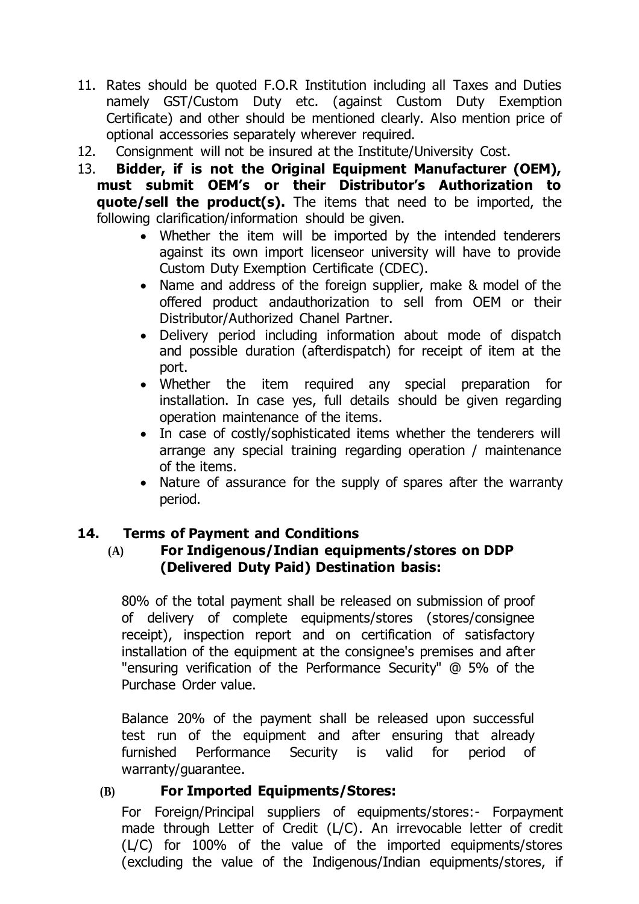- 11. Rates should be quoted F.O.R Institution including all Taxes and Duties namely GST/Custom Duty etc. (against Custom Duty Exemption Certificate) and other should be mentioned clearly. Also mention price of optional accessories separately wherever required.
- 12. Consignment will not be insured at the Institute/University Cost.
- 13. **Bidder, if is not the Original Equipment Manufacturer (OEM), must submit OEM's or their Distributor's Authorization to quote/sell the product(s).** The items that need to be imported, the following clarification/information should be given.
	- Whether the item will be imported by the intended tenderers against its own import licenseor university will have to provide Custom Duty Exemption Certificate (CDEC).
	- Name and address of the foreign supplier, make & model of the offered product andauthorization to sell from OEM or their Distributor/Authorized Chanel Partner.
	- Delivery period including information about mode of dispatch and possible duration (afterdispatch) for receipt of item at the port.
	- Whether the item required any special preparation for installation. In case yes, full details should be given regarding operation maintenance of the items.
	- In case of costly/sophisticated items whether the tenderers will arrange any special training regarding operation / maintenance of the items.
	- Nature of assurance for the supply of spares after the warranty period.

## **14. Terms of Payment and Conditions**

#### **(A) For Indigenous/Indian equipments/stores on DDP (Delivered Duty Paid) Destination basis:**

80% of the total payment shall be released on submission of proof of delivery of complete equipments/stores (stores/consignee receipt), inspection report and on certification of satisfactory installation of the equipment at the consignee's premises and after "ensuring verification of the Performance Security" @ 5% of the Purchase Order value.

Balance 20% of the payment shall be released upon successful test run of the equipment and after ensuring that already furnished Performance Security is valid for period of warranty/guarantee.

#### **(B) For Imported Equipments/Stores:**

For Foreign/Principal suppliers of equipments/stores:- Forpayment made through Letter of Credit (L/C). An irrevocable letter of credit (L/C) for 100% of the value of the imported equipments/stores (excluding the value of the Indigenous/Indian equipments/stores, if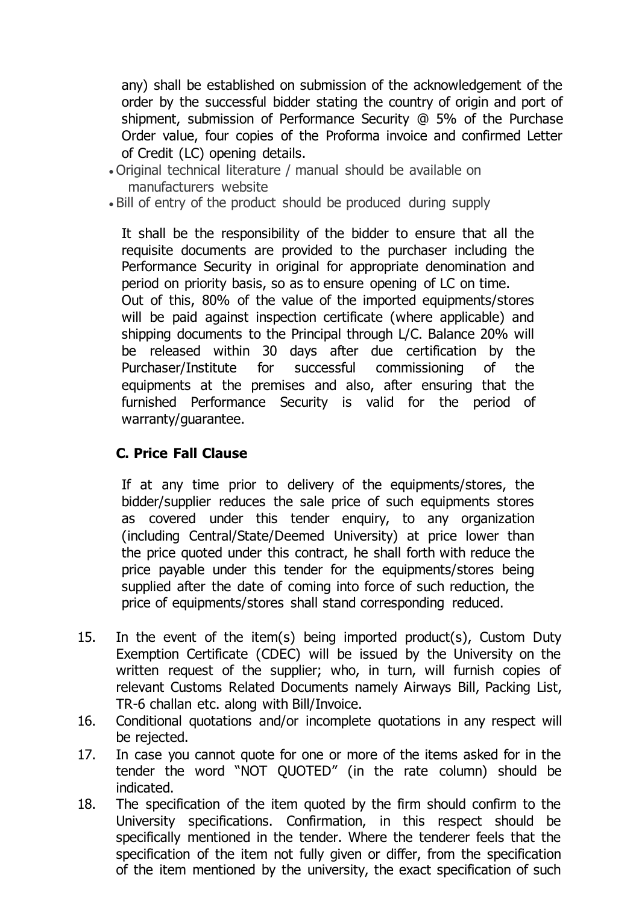any) shall be established on submission of the acknowledgement of the order by the successful bidder stating the country of origin and port of shipment, submission of Performance Security @ 5% of the Purchase Order value, four copies of the Proforma invoice and confirmed Letter of Credit (LC) opening details.

- Original technical literature / manual should be available on manufacturers website
- Bill of entry of the product should be produced during supply

It shall be the responsibility of the bidder to ensure that all the requisite documents are provided to the purchaser including the Performance Security in original for appropriate denomination and period on priority basis, so as to ensure opening of LC on time. Out of this, 80% of the value of the imported equipments/stores

will be paid against inspection certificate (where applicable) and shipping documents to the Principal through L/C. Balance 20% will be released within 30 days after due certification by the Purchaser/Institute for successful commissioning of the equipments at the premises and also, after ensuring that the furnished Performance Security is valid for the period of warranty/guarantee.

## **C. Price Fall Clause**

If at any time prior to delivery of the equipments/stores, the bidder/supplier reduces the sale price of such equipments stores as covered under this tender enquiry, to any organization (including Central/State/Deemed University) at price lower than the price quoted under this contract, he shall forth with reduce the price payable under this tender for the equipments/stores being supplied after the date of coming into force of such reduction, the price of equipments/stores shall stand corresponding reduced.

- 15. In the event of the item(s) being imported product(s), Custom Duty Exemption Certificate (CDEC) will be issued by the University on the written request of the supplier; who, in turn, will furnish copies of relevant Customs Related Documents namely Airways Bill, Packing List, TR-6 challan etc. along with Bill/Invoice.
- 16. Conditional quotations and/or incomplete quotations in any respect will be rejected.
- 17. In case you cannot quote for one or more of the items asked for in the tender the word "NOT QUOTED" (in the rate column) should be indicated.
- 18. The specification of the item quoted by the firm should confirm to the University specifications. Confirmation, in this respect should be specifically mentioned in the tender. Where the tenderer feels that the specification of the item not fully given or differ, from the specification of the item mentioned by the university, the exact specification of such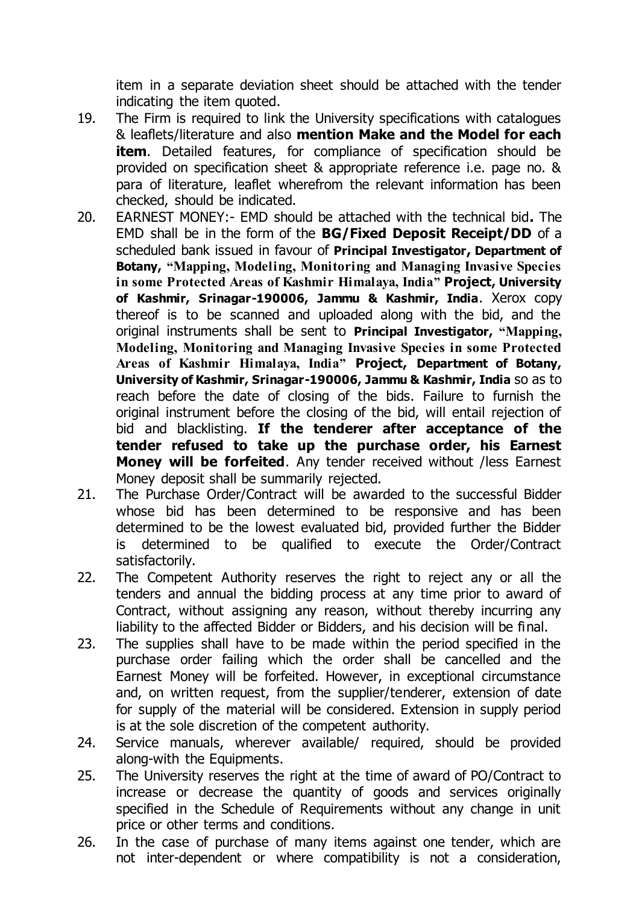item in a separate deviation sheet should be attached with the tender indicating the item quoted.

- 19. The Firm is required to link the University specifications with catalogues & leaflets/literature and also **mention Make and the Model for each item**. Detailed features, for compliance of specification should be provided on specification sheet & appropriate reference i.e. page no. & para of literature, leaflet wherefrom the relevant information has been checked, should be indicated.
- 20. EARNEST MONEY:- EMD should be attached with the technical bid**.** The EMD shall be in the form of the **BG/Fixed Deposit Receipt/DD** of a scheduled bank issued in favour of **Principal Investigator, Department of Botany, "Mapping, Modeling, Monitoring and Managing Invasive Species in some Protected Areas of Kashmir Himalaya, India" Project, University of Kashmir, Srinagar-190006, Jammu & Kashmir, India**. Xerox copy thereof is to be scanned and uploaded along with the bid, and the original instruments shall be sent to **Principal Investigator, "Mapping, Modeling, Monitoring and Managing Invasive Species in some Protected Areas of Kashmir Himalaya, India" Project, Department of Botany, University of Kashmir, Srinagar-190006, Jammu & Kashmir, India** so as to reach before the date of closing of the bids. Failure to furnish the original instrument before the closing of the bid, will entail rejection of bid and blacklisting. **If the tenderer after acceptance of the tender refused to take up the purchase order, his Earnest Money will be forfeited**. Any tender received without /less Earnest Money deposit shall be summarily rejected.
- 21. The Purchase Order/Contract will be awarded to the successful Bidder whose bid has been determined to be responsive and has been determined to be the lowest evaluated bid, provided further the Bidder is determined to be qualified to execute the Order/Contract satisfactorily.
- 22. The Competent Authority reserves the right to reject any or all the tenders and annual the bidding process at any time prior to award of Contract, without assigning any reason, without thereby incurring any liability to the affected Bidder or Bidders, and his decision will be final.
- 23. The supplies shall have to be made within the period specified in the purchase order failing which the order shall be cancelled and the Earnest Money will be forfeited. However, in exceptional circumstance and, on written request, from the supplier/tenderer, extension of date for supply of the material will be considered. Extension in supply period is at the sole discretion of the competent authority.
- 24. Service manuals, wherever available/ required, should be provided along-with the Equipments.
- 25. The University reserves the right at the time of award of PO/Contract to increase or decrease the quantity of goods and services originally specified in the Schedule of Requirements without any change in unit price or other terms and conditions.
- 26. In the case of purchase of many items against one tender, which are not inter-dependent or where compatibility is not a consideration,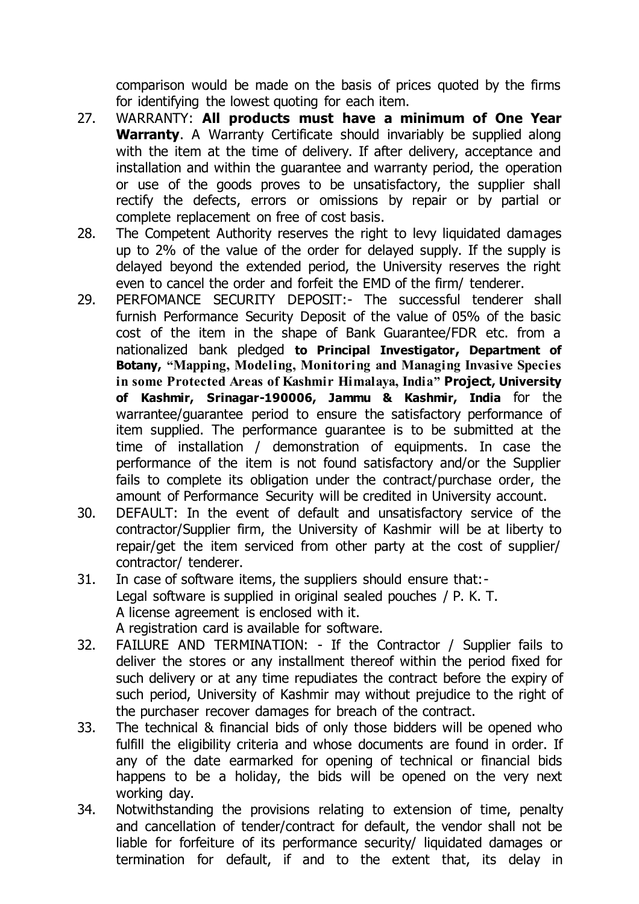comparison would be made on the basis of prices quoted by the firms for identifying the lowest quoting for each item.

- 27. WARRANTY: **All products must have a minimum of One Year Warranty**. A Warranty Certificate should invariably be supplied along with the item at the time of delivery. If after delivery, acceptance and installation and within the guarantee and warranty period, the operation or use of the goods proves to be unsatisfactory, the supplier shall rectify the defects, errors or omissions by repair or by partial or complete replacement on free of cost basis.
- 28. The Competent Authority reserves the right to levy liquidated damages up to 2% of the value of the order for delayed supply. If the supply is delayed beyond the extended period, the University reserves the right even to cancel the order and forfeit the EMD of the firm/ tenderer.
- 29. PERFOMANCE SECURITY DEPOSIT:- The successful tenderer shall furnish Performance Security Deposit of the value of 05% of the basic cost of the item in the shape of Bank Guarantee/FDR etc. from a nationalized bank pledged **to Principal Investigator, Department of Botany, "Mapping, Modeling, Monitoring and Managing Invasive Species in some Protected Areas of Kashmir Himalaya, India" Project, University of Kashmir, Srinagar-190006, Jammu & Kashmir, India** for the warrantee/guarantee period to ensure the satisfactory performance of item supplied. The performance guarantee is to be submitted at the time of installation / demonstration of equipments. In case the performance of the item is not found satisfactory and/or the Supplier fails to complete its obligation under the contract/purchase order, the amount of Performance Security will be credited in University account.
- 30. DEFAULT: In the event of default and unsatisfactory service of the contractor/Supplier firm, the University of Kashmir will be at liberty to repair/get the item serviced from other party at the cost of supplier/ contractor/ tenderer.
- 31. In case of software items, the suppliers should ensure that:- Legal software is supplied in original sealed pouches / P. K. T. A license agreement is enclosed with it. A registration card is available for software.
- 32. FAILURE AND TERMINATION: If the Contractor / Supplier fails to deliver the stores or any installment thereof within the period fixed for such delivery or at any time repudiates the contract before the expiry of such period, University of Kashmir may without prejudice to the right of the purchaser recover damages for breach of the contract.
- 33. The technical & financial bids of only those bidders will be opened who fulfill the eligibility criteria and whose documents are found in order. If any of the date earmarked for opening of technical or financial bids happens to be a holiday, the bids will be opened on the very next working day.
- 34. Notwithstanding the provisions relating to extension of time, penalty and cancellation of tender/contract for default, the vendor shall not be liable for forfeiture of its performance security/ liquidated damages or termination for default, if and to the extent that, its delay in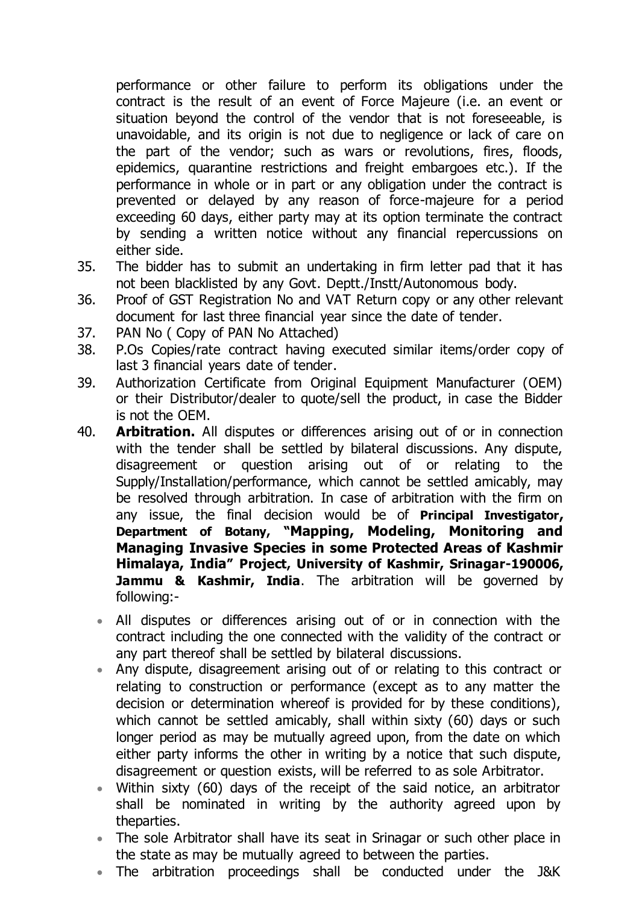performance or other failure to perform its obligations under the contract is the result of an event of Force Majeure (i.e. an event or situation beyond the control of the vendor that is not foreseeable, is unavoidable, and its origin is not due to negligence or lack of care on the part of the vendor; such as wars or revolutions, fires, floods, epidemics, quarantine restrictions and freight embargoes etc.). If the performance in whole or in part or any obligation under the contract is prevented or delayed by any reason of force-majeure for a period exceeding 60 days, either party may at its option terminate the contract by sending a written notice without any financial repercussions on either side.

- 35. The bidder has to submit an undertaking in firm letter pad that it has not been blacklisted by any Govt. Deptt./Instt/Autonomous body.
- 36. Proof of GST Registration No and VAT Return copy or any other relevant document for last three financial year since the date of tender.
- 37. PAN No ( Copy of PAN No Attached)
- 38. P.Os Copies/rate contract having executed similar items/order copy of last 3 financial years date of tender.
- 39. Authorization Certificate from Original Equipment Manufacturer (OEM) or their Distributor/dealer to quote/sell the product, in case the Bidder is not the OEM.
- 40. **Arbitration.** All disputes or differences arising out of or in connection with the tender shall be settled by bilateral discussions. Any dispute, disagreement or question arising out of or relating to the Supply/Installation/performance, which cannot be settled amicably, may be resolved through arbitration. In case of arbitration with the firm on any issue, the final decision would be of **Principal Investigator, Department of Botany, "Mapping, Modeling, Monitoring and Managing Invasive Species in some Protected Areas of Kashmir Himalaya, India" Project, University of Kashmir, Srinagar-190006, Jammu & Kashmir, India**. The arbitration will be governed by following:-
	- All disputes or differences arising out of or in connection with the contract including the one connected with the validity of the contract or any part thereof shall be settled by bilateral discussions.
	- Any dispute, disagreement arising out of or relating to this contract or relating to construction or performance (except as to any matter the decision or determination whereof is provided for by these conditions), which cannot be settled amicably, shall within sixty (60) days or such longer period as may be mutually agreed upon, from the date on which either party informs the other in writing by a notice that such dispute, disagreement or question exists, will be referred to as sole Arbitrator.
	- Within sixty (60) days of the receipt of the said notice, an arbitrator shall be nominated in writing by the authority agreed upon by theparties.
	- The sole Arbitrator shall have its seat in Srinagar or such other place in the state as may be mutually agreed to between the parties.
	- The arbitration proceedings shall be conducted under the J&K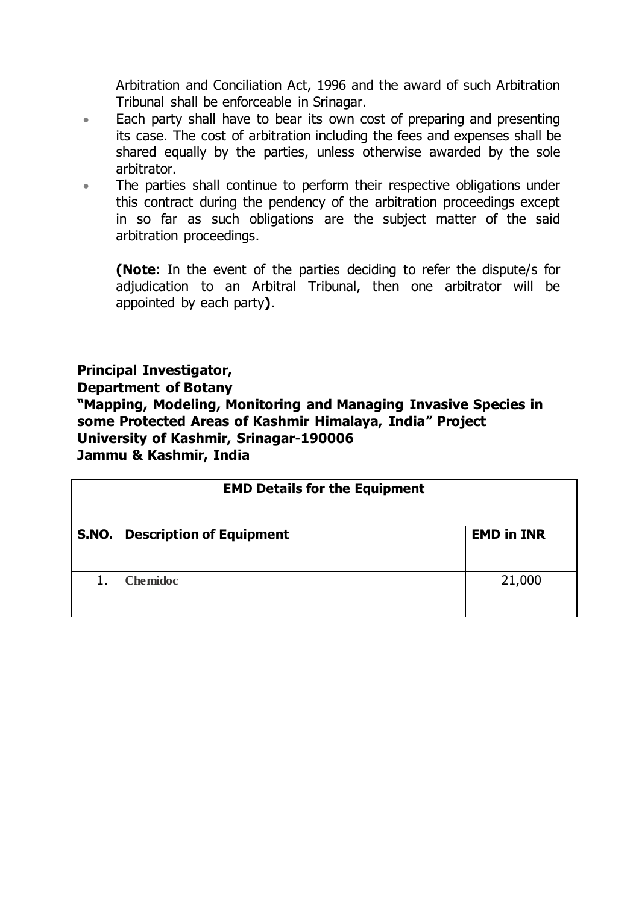Arbitration and Conciliation Act, 1996 and the award of such Arbitration Tribunal shall be enforceable in Srinagar.

- **Each party shall have to bear its own cost of preparing and presenting** its case. The cost of arbitration including the fees and expenses shall be shared equally by the parties, unless otherwise awarded by the sole arbitrator.
- The parties shall continue to perform their respective obligations under this contract during the pendency of the arbitration proceedings except in so far as such obligations are the subject matter of the said arbitration proceedings.

**(Note**: In the event of the parties deciding to refer the dispute/s for adjudication to an Arbitral Tribunal, then one arbitrator will be appointed by each party**)**.

#### **Principal Investigator,**

**Department of Botany**

**"Mapping, Modeling, Monitoring and Managing Invasive Species in some Protected Areas of Kashmir Himalaya, India" Project University of Kashmir, Srinagar-190006 Jammu & Kashmir, India**

|       | <b>EMD Details for the Equipment</b> |                   |  |
|-------|--------------------------------------|-------------------|--|
| S.NO. | <b>Description of Equipment</b>      | <b>EMD in INR</b> |  |
|       | <b>Chemidoc</b>                      | 21,000            |  |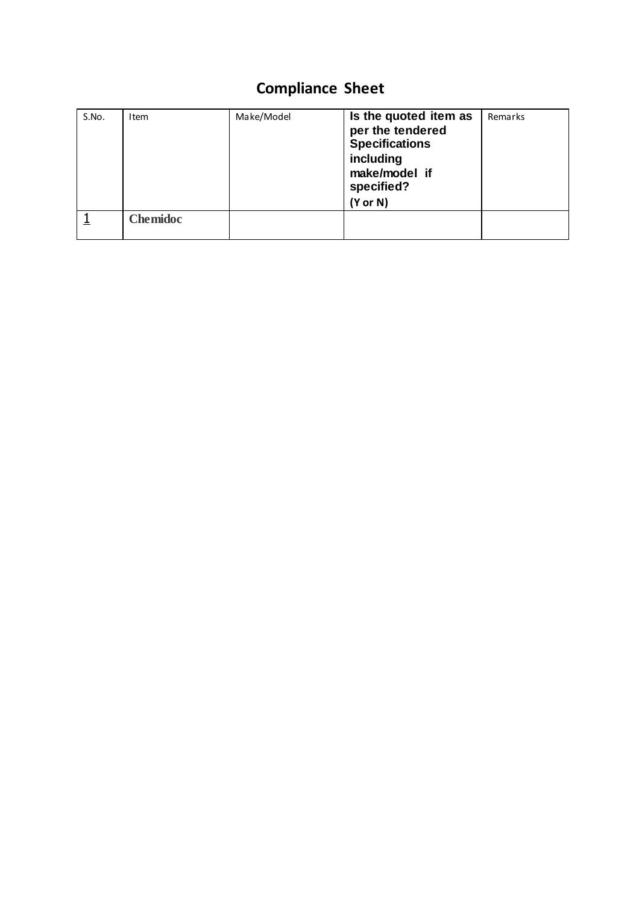# **Compliance Sheet**

| S.No. | Item            | Make/Model | Is the quoted item as<br>per the tendered<br><b>Specifications</b><br>including<br>make/model if<br>specified?<br>$(Y$ or N $)$ | Remarks |
|-------|-----------------|------------|---------------------------------------------------------------------------------------------------------------------------------|---------|
|       | <b>Chemidoc</b> |            |                                                                                                                                 |         |